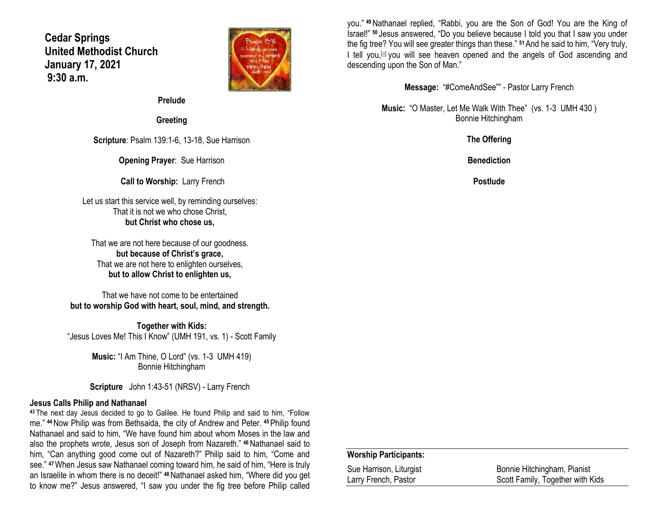# **Cedar Springs United Methodist Church January 17, 2021 9:30 a.m.**



**Prelude**

**Greeting**

**Scripture**: Psalm 139:1-6, 13-18, Sue Harrison

**Opening Prayer**: Sue Harrison

**Call to Worship:** Larry French

Let us start this service well, by reminding ourselves: That it is not we who chose Christ, **but Christ who chose us,**

That we are not here because of our goodness. **but because of Christ's grace,** That we are not here to enlighten ourselves, **but to allow Christ to enlighten us,**

That we have not come to be entertained **but to worship God with heart, soul, mind, and strength.**

**Together with Kids:** "Jesus Loves Me! This I Know" (UMH 191, vs. 1) - Scott Family

> **Music:** "I Am Thine, O Lord" (vs. 1-3 UMH 419) Bonnie Hitchingham

**Scripture** John 1:43-51 (NRSV) - Larry French

### **Jesus Calls Philip and Nathanael**

**<sup>43</sup>** The next day Jesus decided to go to Galilee. He found Philip and said to him, "Follow me." **<sup>44</sup>**Now Philip was from Bethsaida, the city of Andrew and Peter. **<sup>45</sup>**Philip found Nathanael and said to him, "We have found him about whom Moses in the law and also the prophets wrote, Jesus son of Joseph from Nazareth." **<sup>46</sup>**Nathanael said to him, "Can anything good come out of Nazareth?" Philip said to him, "Come and see." **<sup>47</sup>**When Jesus saw Nathanael coming toward him, he said of him, "Here is truly an Israelite in whom there is no deceit!" **<sup>48</sup>**Nathanael asked him, "Where did you get to know me?" Jesus answered, "I saw you under the fig tree before Philip called

you." **<sup>49</sup>**Nathanael replied, "Rabbi, you are the Son of God! You are the King of Israel!" **<sup>50</sup>** Jesus answered, "Do you believe because I told you that I saw you under the fig tree? You will see greater things than these." **<sup>51</sup>**And he said to him, "Very truly, I tell you,<sup>[\[a\]](https://www.biblegateway.com/passage/?search=John+1%3A43-51&version=NRSV#fen-NRSV-26086a)</sup> you will see heaven opened and the angels of God ascending and descending upon the Son of Man."

**Message:** "#ComeAndSee"" - Pastor Larry French

**Music:** "O Master, Let Me Walk With Thee" (vs. 1-3 UMH 430 ) Bonnie Hitchingham

**The Offering**

**Benediction**

**Postlude**

#### **Worship Participants:**

| Sue Harrison, Liturgist | Bonnie Hitchingham, Pianist      |
|-------------------------|----------------------------------|
| Larry French, Pastor    | Scott Family, Together with Kids |